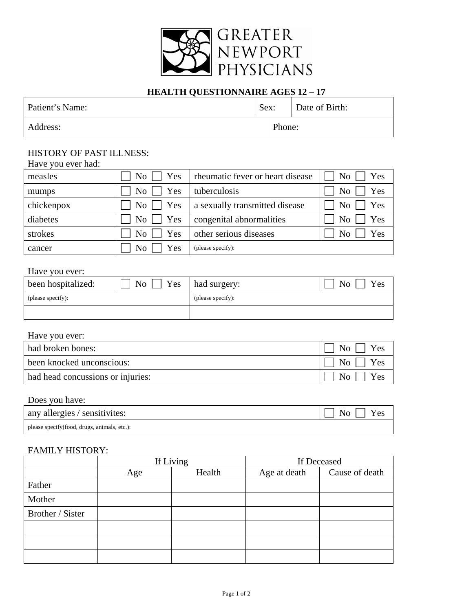

# **HEALTH QUESTIONNAIRE AGES 12 – 17**

| Patient's Name: |        | Sex: Date of Birth: |
|-----------------|--------|---------------------|
| Address:        | Phone: |                     |

## HISTORY OF PAST ILLNESS:

| Have you ever had: |                                |                                  |                       |
|--------------------|--------------------------------|----------------------------------|-----------------------|
| measles            | No <sub>1</sub><br>Yes         | rheumatic fever or heart disease | No<br>Yes             |
| mumps              | N <sub>o</sub><br>Yes          | tuberculosis                     | N <sub>o</sub><br>Yes |
| chickenpox         | No <sub>1</sub><br>$\vert$ Yes | a sexually transmitted disease   | No<br>Yes             |
| diabetes           | No <sub>1</sub><br>$\vert$ Yes | congenital abnormalities         | Yes<br>N <sub>0</sub> |
| strokes            | N <sub>o</sub><br>Yes          | other serious diseases           | Yes<br>No             |
| cancer             | N <sub>0</sub><br>Yes          | (please specify):                |                       |

#### Have you ever:

| been hospitalized: | Yes<br>N <sub>o</sub> | had surgery:      | N <sub>o</sub><br>Yes |
|--------------------|-----------------------|-------------------|-----------------------|
| (please specify):  |                       | (please specify): |                       |
|                    |                       |                   |                       |

#### Have you ever:

| had broken bones:                 | $No$   $Yes$                  |
|-----------------------------------|-------------------------------|
| been knocked unconscious:         | $\overline{N_0}$   Yes        |
| had head concussions or injuries: | $\overline{N_{0}}$    <br>Yes |

### Does you have:

| any allergies / sensitivites:               | $\Box$ No $\Box$ Yes |
|---------------------------------------------|----------------------|
| please specify(food, drugs, animals, etc.): |                      |

### FAMILY HISTORY:

|                  |     | If Living | If Deceased  |                |  |  |
|------------------|-----|-----------|--------------|----------------|--|--|
|                  | Age | Health    | Age at death | Cause of death |  |  |
| Father           |     |           |              |                |  |  |
| Mother           |     |           |              |                |  |  |
| Brother / Sister |     |           |              |                |  |  |
|                  |     |           |              |                |  |  |
|                  |     |           |              |                |  |  |
|                  |     |           |              |                |  |  |